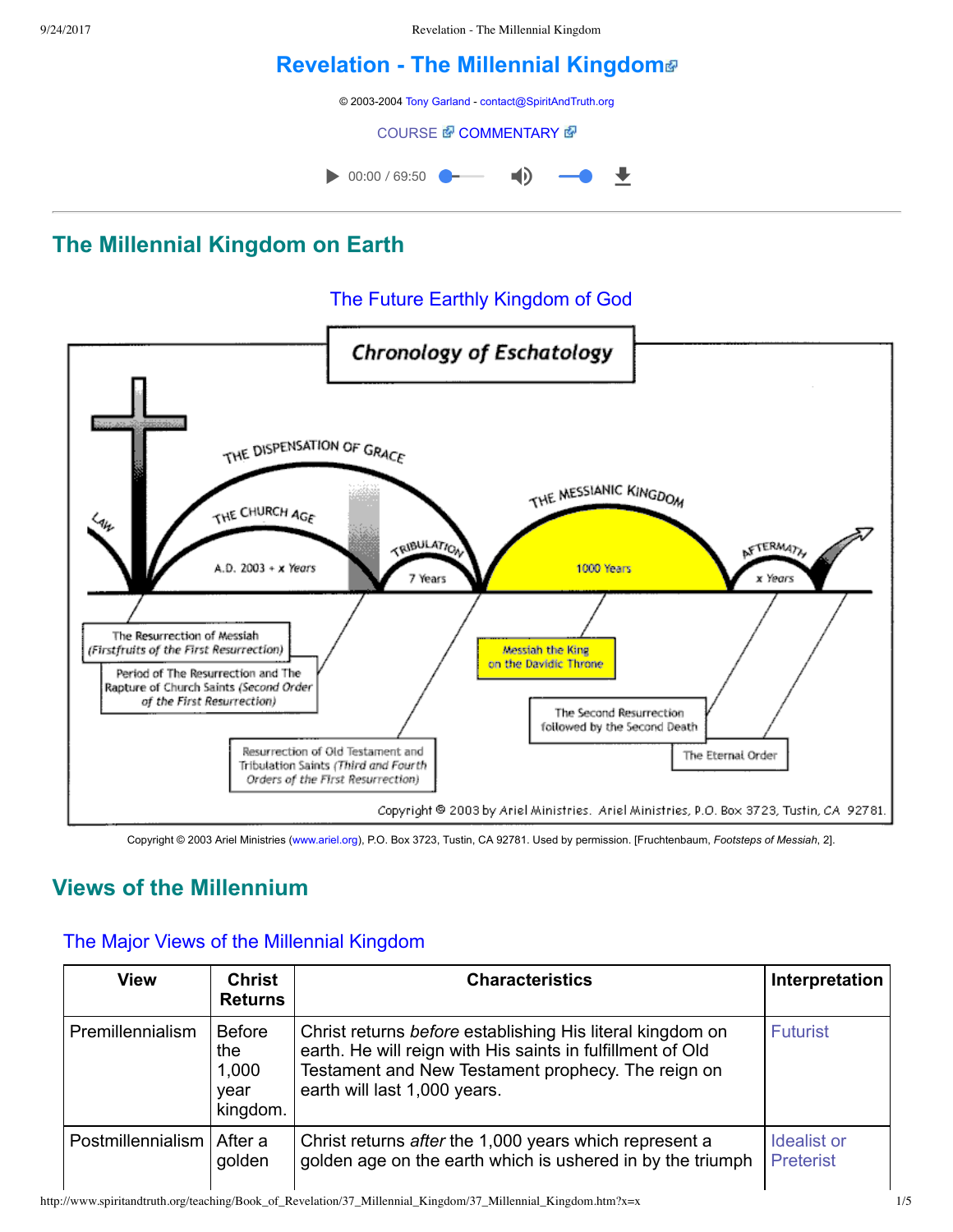9/24/2017 Revelation - The Millennial Kingdom

# **[Revelation The Millennial Kingdom](http://www.spiritandtruth.org/teaching/Book_of_Revelation/37_Millennial_Kingdom/index.htm)**

© 2003-2004 [Tony Garland](http://www.spiritandtruth.org/teaching/teachers/tony_garland/bio.htm) - [contact@SpiritAndTruth.org](mailto:contact@SpiritAndTruth.org?subject=ST-MAIL:%20Revelation%20-%20The%20Millennial%20Kingdom)

**[COURSE](http://www.spiritandtruth.org/teaching/Book_of_Revelation/37_Millennial_Kingdom/index.htm)** *COMMENTARY* 图



## **The Millennial Kingdom on Earth**

### The Future Earthly Kingdom of God



Copyright © 2003 Ariel Ministries ([www.ariel.org\)](http://www.ariel.org/), P.O. Box 3723, Tustin, CA 92781. Used by permission. [Fruchtenbaum, *Footsteps of Messiah*, 2].

# **Views of the Millennium**

#### The Major Views of the Millennial Kingdom

| <b>View</b>       | <b>Christ</b><br><b>Returns</b>                   | <b>Characteristics</b>                                                                                                                                                                                        | Interpretation                  |
|-------------------|---------------------------------------------------|---------------------------------------------------------------------------------------------------------------------------------------------------------------------------------------------------------------|---------------------------------|
| Premillennialism  | <b>Before</b><br>the<br>1,000<br>year<br>kingdom. | Christ returns before establishing His literal kingdom on<br>earth. He will reign with His saints in fulfillment of Old<br>Testament and New Testament prophecy. The reign on<br>earth will last 1,000 years. | <b>Futurist</b>                 |
| Postmillennialism | After a<br>golden                                 | Christ returns after the 1,000 years which represent a<br>golden age on the earth which is ushered in by the triumph                                                                                          | Idealist or<br><b>Preterist</b> |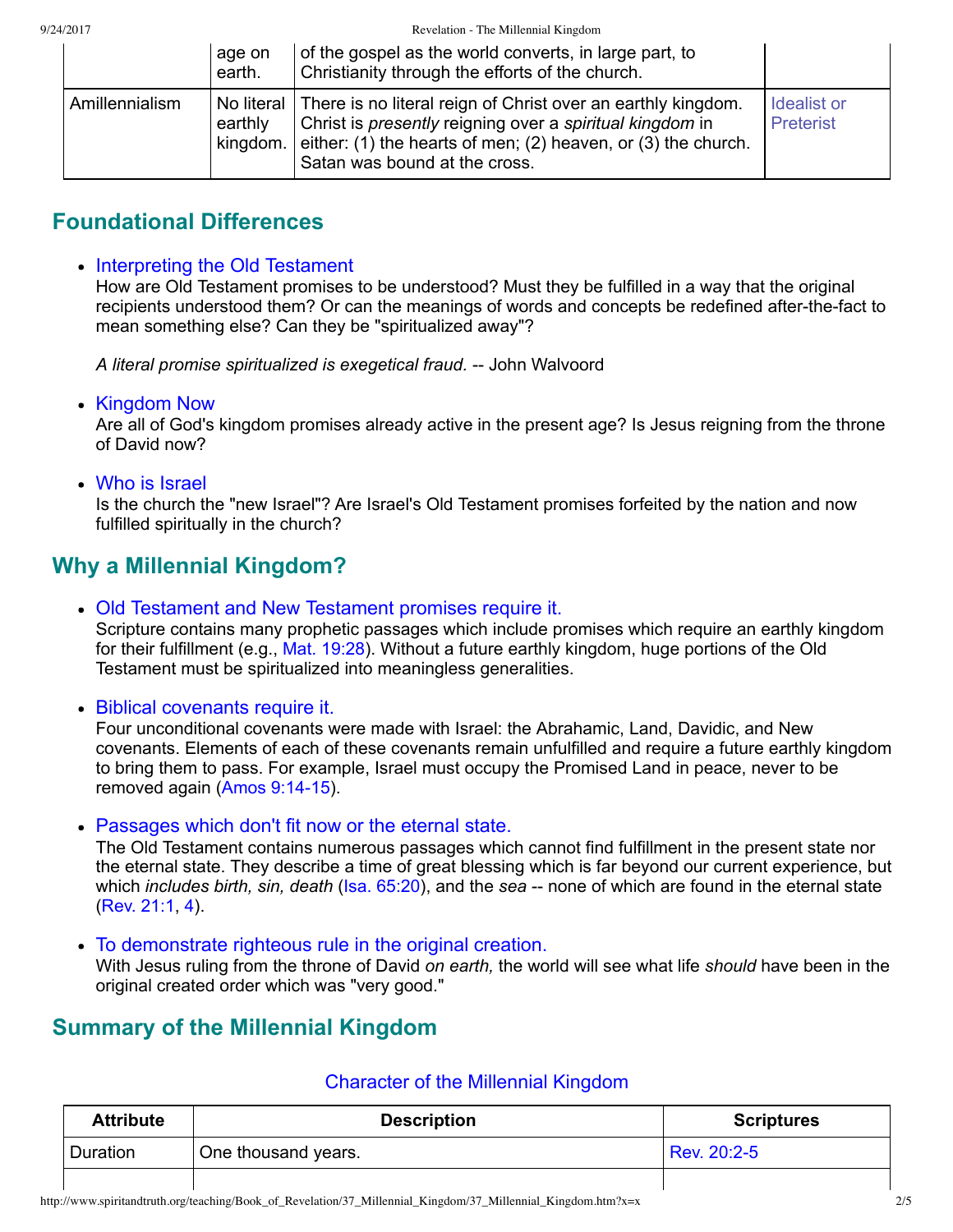9/24/2017 Revelation - The Millennial Kingdom

|                | age on<br>earth.    | of the gospel as the world converts, in large part, to<br>Christianity through the efforts of the church.                                                                                                                                    |                                 |
|----------------|---------------------|----------------------------------------------------------------------------------------------------------------------------------------------------------------------------------------------------------------------------------------------|---------------------------------|
| Amillennialism | earthly<br>kingdom. | No literal There is no literal reign of Christ over an earthly kingdom.<br>Christ is <i>presently</i> reigning over a spiritual kingdom in<br>either: (1) the hearts of men; (2) heaven, or (3) the church.<br>Satan was bound at the cross. | Idealist or<br><b>Preterist</b> |

## **Foundational Differences**

#### • Interpreting the Old Testament

How are Old Testament promises to be understood? Must they be fulfilled in a way that the original recipients understood them? Or can the meanings of words and concepts be redefined after-the-fact to mean something else? Can they be "spiritualized away"?

A literal promise spiritualized is exegetical fraud. -- John Walvoord

• Kingdom Now

Are all of God's kingdom promises already active in the present age? Is Jesus reigning from the throne of David now?

Who is Israel

Is the church the "new Israel"? Are Israel's Old Testament promises forfeited by the nation and now fulfilled spiritually in the church?

# **Why a Millennial Kingdom?**

Old Testament and New Testament promises require it.

Scripture contains many prophetic passages which include promises which require an earthly kingdom for their fulfillment (e.g., [Mat. 19:28](http://www.spiritandtruth.org/bibles/nasb/b40c019.htm#Mat._C19V28)). Without a future earthly kingdom, huge portions of the Old Testament must be spiritualized into meaningless generalities.

Biblical covenants require it.

Four unconditional covenants were made with Israel: the Abrahamic, Land, Davidic, and New covenants. Elements of each of these covenants remain unfulfilled and require a future earthly kingdom to bring them to pass. For example, Israel must occupy the Promised Land in peace, never to be removed again (Amos 9:14-15).

Passages which don't fit now or the eternal state.

The Old Testament contains numerous passages which cannot find fulfillment in the present state nor the eternal state. They describe a time of great blessing which is far beyond our current experience, but which *includes birth, sin, death* ([Isa. 65:20](http://www.spiritandtruth.org/bibles/nasb/b23c065.htm#Isa._C65V20)), and the *sea* -- none of which are found in the eternal state [\(Rev. 21:1,](http://www.spiritandtruth.org/bibles/nasb/b66c021.htm#Rev._C21V1) [4\)](http://www.spiritandtruth.org/bibles/nasb/b66c021.htm#Rev._C21V4).

To demonstrate righteous rule in the original creation.

With Jesus ruling from the throne of David *on earth,* the world will see what life *should* have been in the original created order which was "very good."

## **Summary of the Millennial Kingdom**

| <b>Attribute</b> | <b>Description</b>  | <b>Scriptures</b> |
|------------------|---------------------|-------------------|
| Duration         | One thousand years. | Rev. 20:2-5       |
|                  |                     |                   |

#### Character of the Millennial Kingdom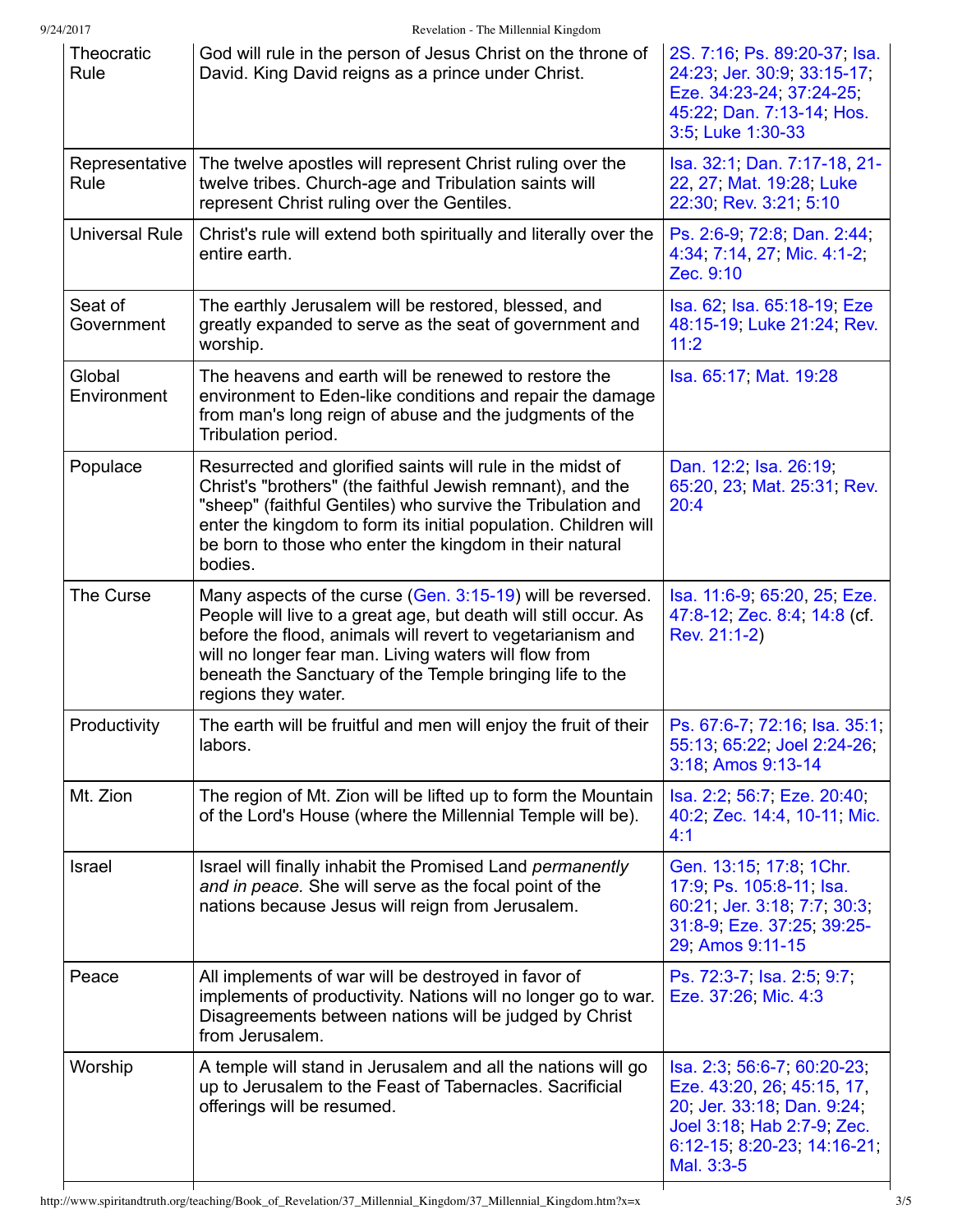9/24/2017 Revelation - The Millennial Kingdom

| Theocratic<br>Rule     | God will rule in the person of Jesus Christ on the throne of<br>David. King David reigns as a prince under Christ.                                                                                                                                                                                                                      | 2S. 7:16, Ps. 89:20-37, Isa.<br>24:23, Jer. 30:9, 33:15-17,<br>Eze. 34:23-24, 37:24-25,<br>45:22, Dan. 7:13-14, Hos.<br>3:5, Luke 1:30-33                          |
|------------------------|-----------------------------------------------------------------------------------------------------------------------------------------------------------------------------------------------------------------------------------------------------------------------------------------------------------------------------------------|--------------------------------------------------------------------------------------------------------------------------------------------------------------------|
| Representative<br>Rule | The twelve apostles will represent Christ ruling over the<br>twelve tribes. Church-age and Tribulation saints will<br>represent Christ ruling over the Gentiles.                                                                                                                                                                        | Isa. 32:1, Dan. 7:17-18, 21-<br>22, 27, Mat. 19:28, Luke<br>22:30, Rev. 3:21, 5:10                                                                                 |
| <b>Universal Rule</b>  | Christ's rule will extend both spiritually and literally over the<br>entire earth.                                                                                                                                                                                                                                                      | Ps. 2:6-9, 72:8, Dan. 2:44,<br>4:34, 7:14, 27, Mic. 4:1-2,<br>Zec. 9:10                                                                                            |
| Seat of<br>Government  | The earthly Jerusalem will be restored, blessed, and<br>greatly expanded to serve as the seat of government and<br>worship.                                                                                                                                                                                                             | Isa. 62, Isa. 65:18-19, Eze<br>48:15-19, Luke 21:24, Rev.<br>11:2                                                                                                  |
| Global<br>Environment  | The heavens and earth will be renewed to restore the<br>environment to Eden-like conditions and repair the damage<br>from man's long reign of abuse and the judgments of the<br>Tribulation period.                                                                                                                                     | Isa. 65:17, Mat. 19:28                                                                                                                                             |
| Populace               | Resurrected and glorified saints will rule in the midst of<br>Christ's "brothers" (the faithful Jewish remnant), and the<br>"sheep" (faithful Gentiles) who survive the Tribulation and<br>enter the kingdom to form its initial population. Children will<br>be born to those who enter the kingdom in their natural<br>bodies.        | Dan. 12:2; Isa. 26:19;<br>65:20, 23, Mat. 25:31, Rev.<br>20:4                                                                                                      |
| The Curse              | Many aspects of the curse (Gen. 3:15-19) will be reversed.<br>People will live to a great age, but death will still occur. As<br>before the flood, animals will revert to vegetarianism and<br>will no longer fear man. Living waters will flow from<br>beneath the Sanctuary of the Temple bringing life to the<br>regions they water. | Isa. 11:6-9, 65:20, 25, Eze.<br>47:8-12, Zec. 8:4, 14:8 (cf.<br>Rev. 21:1-2)                                                                                       |
| Productivity           | The earth will be fruitful and men will enjoy the fruit of their<br>labors.                                                                                                                                                                                                                                                             | Ps. 67:6-7, 72:16, Isa. 35:1,<br>55:13, 65:22, Joel 2:24-26,<br>3:18, Amos 9:13-14                                                                                 |
| Mt. Zion               | The region of Mt. Zion will be lifted up to form the Mountain<br>of the Lord's House (where the Millennial Temple will be).                                                                                                                                                                                                             | Isa. 2:2, 56:7, Eze. 20:40,<br>40:2, Zec. 14:4, 10-11, Mic.<br>4:1                                                                                                 |
| Israel                 | Israel will finally inhabit the Promised Land permanently<br>and in peace. She will serve as the focal point of the<br>nations because Jesus will reign from Jerusalem.                                                                                                                                                                 | Gen. 13:15, 17:8, 1Chr.<br>17:9, Ps. 105:8-11, Isa.<br>60:21, Jer. 3:18, 7:7, 30:3,<br>31:8-9, Eze. 37:25, 39:25-<br>29 Amos 9:11-15                               |
| Peace                  | All implements of war will be destroyed in favor of<br>implements of productivity. Nations will no longer go to war.<br>Disagreements between nations will be judged by Christ<br>from Jerusalem.                                                                                                                                       | Ps. 72:3-7, Isa. 2:5, 9:7,<br>Eze. 37:26, Mic. 4:3                                                                                                                 |
| Worship                | A temple will stand in Jerusalem and all the nations will go<br>up to Jerusalem to the Feast of Tabernacles. Sacrificial<br>offerings will be resumed.                                                                                                                                                                                  | Isa. 2:3, 56:6-7, 60:20-23,<br>Eze. 43:20, 26, 45:15, 17,<br>20, Jer. 33:18, Dan. 9:24,<br>Joel 3:18, Hab 2:7-9, Zec.<br>6:12-15, 8:20-23, 14:16-21,<br>Mal. 3:3-5 |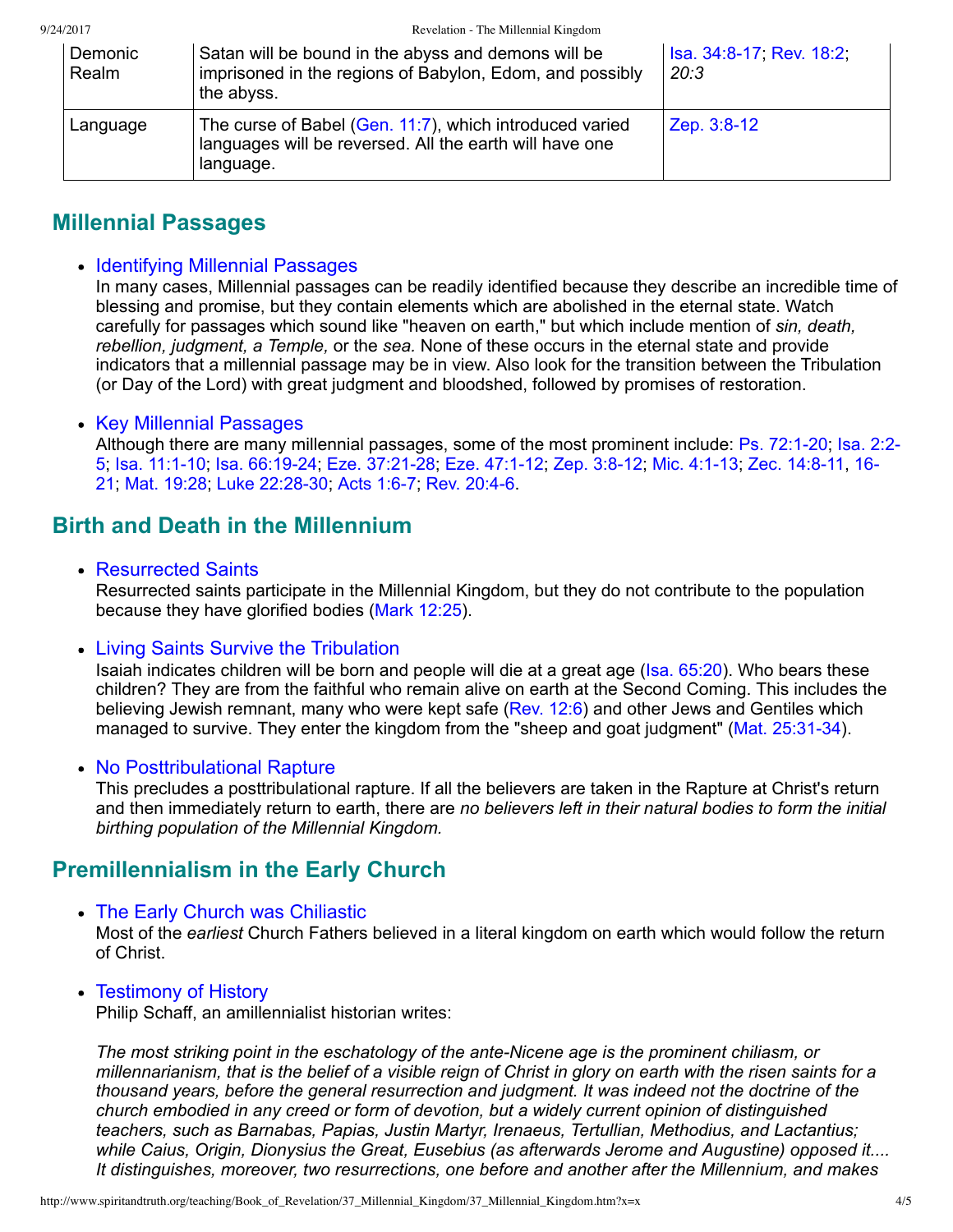| Demonic<br>Realm | Satan will be bound in the abyss and demons will be<br>imprisoned in the regions of Babylon, Edom, and possibly<br>the abyss.   | Isa. 34:8-17, Rev. 18:2,<br>20:3 |
|------------------|---------------------------------------------------------------------------------------------------------------------------------|----------------------------------|
| Language         | The curse of Babel (Gen. 11:7), which introduced varied<br>languages will be reversed. All the earth will have one<br>language. | Zep. 3:8-12                      |

### **Millennial Passages**

#### • Identifying Millennial Passages

In many cases, Millennial passages can be readily identified because they describe an incredible time of blessing and promise, but they contain elements which are abolished in the eternal state. Watch carefully for passages which sound like "heaven on earth," but which include mention of *sin, death, rebellion, judgment, a Temple,* or the *sea.* None of these occurs in the eternal state and provide indicators that a millennial passage may be in view. Also look for the transition between the Tribulation (or Day of the Lord) with great judgment and bloodshed, followed by promises of restoration.

#### • Key Millennial Passages

Although there are many millennial passages, some of the most prominent include: Ps. 72:1-20; Isa. 2:2-[5; Isa. 11:110; Isa. 66:1924; Eze. 37:2128; Eze. 47:112; Zep. 3:812; Mic. 4:113; Zec. 14:811, 16](http://www.spiritandtruth.org/bibles/nasb/b38c014.htm#Zec._C14V16) 21; [Mat. 19:28](http://www.spiritandtruth.org/bibles/nasb/b40c019.htm#Mat._C19V28); Luke 22:28-30; Acts 1:6-7; Rev. 20:4-6.

## **Birth and Death in the Millennium**

Resurrected Saints

Resurrected saints participate in the Millennial Kingdom, but they do not contribute to the population because they have glorified bodies ([Mark 12:25\)](http://www.spiritandtruth.org/bibles/nasb/b41c012.htm#Mark_C12V25).

#### • Living Saints Survive the Tribulation

Isaiah indicates children will be born and people will die at a great age [\(Isa. 65:20](http://www.spiritandtruth.org/bibles/nasb/b23c065.htm#Isa._C65V20)). Who bears these children? They are from the faithful who remain alive on earth at the Second Coming. This includes the believing Jewish remnant, many who were kept safe [\(Rev. 12:6](http://www.spiritandtruth.org/bibles/nasb/b66c012.htm#Rev._C12V6)) and other Jews and Gentiles which managed to survive. They enter the kingdom from the "sheep and goat judgment" (Mat. 25:31-34).

#### • No Posttribulational Rapture

This precludes a posttribulational rapture. If all the believers are taken in the Rapture at Christ's return and then immediately return to earth, there are *no believers left in their natural bodies to form the initial birthing population of the Millennial Kingdom.*

### **Premillennialism in the Early Church**

• The Early Church was Chiliastic

Most of the *earliest* Church Fathers believed in a literal kingdom on earth which would follow the return of Christ.

• Testimony of History

Philip Schaff, an amillennialist historian writes:

*The most striking point in the eschatology of the ante-Nicene age is the prominent chiliasm, or millennarianism, that is the belief of a visible reign of Christ in glory on earth with the risen saints for a thousand years, before the general resurrection and judgment. It was indeed not the doctrine of the church embodied in any creed or form of devotion, but a widely current opinion of distinguished teachers, such as Barnabas, Papias, Justin Martyr, Irenaeus, Tertullian, Methodius, and Lactantius; while Caius, Origin, Dionysius the Great, Eusebius (as afterwards Jerome and Augustine) opposed it.... It distinguishes, moreover, two resurrections, one before and another after the Millennium, and makes*